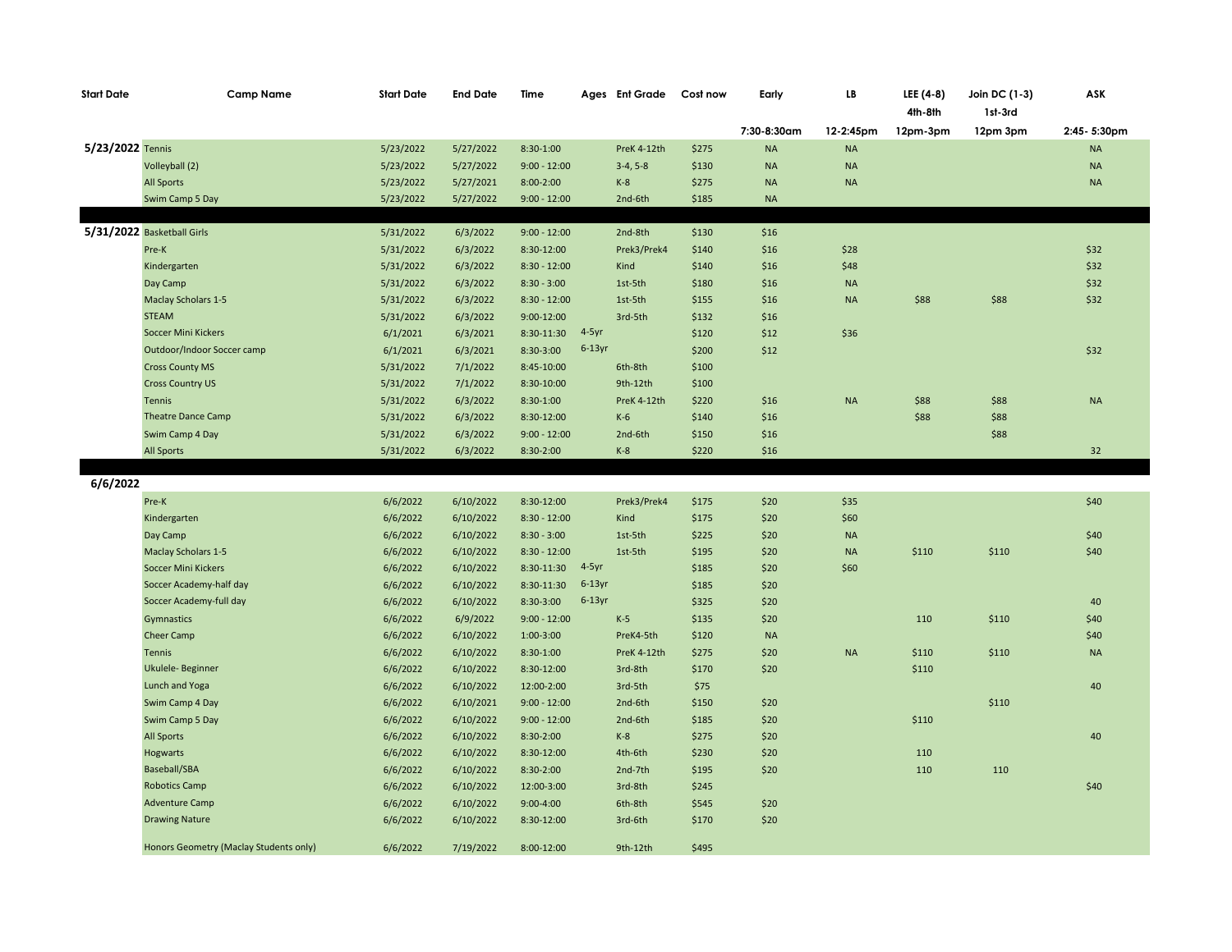| <b>Start Date</b> | <b>Camp Name</b>                       | <b>Start Date</b> | <b>End Date</b> | Time           |                    | Ages Ent Grade | Cost now | Early       | LB        | LEE (4-8)<br>4th-8th | Join DC (1-3)<br>1st-3rd | ASK         |
|-------------------|----------------------------------------|-------------------|-----------------|----------------|--------------------|----------------|----------|-------------|-----------|----------------------|--------------------------|-------------|
|                   |                                        |                   |                 |                |                    |                |          | 7:30-8:30am | 12-2:45pm | 12pm-3pm             | 12pm 3pm                 | 2:45-5:30pm |
| 5/23/2022 Tennis  |                                        | 5/23/2022         | 5/27/2022       | $8:30-1:00$    |                    | PreK 4-12th    | \$275    | <b>NA</b>   | <b>NA</b> |                      |                          | $\sf NA$    |
|                   | Volleyball (2)                         | 5/23/2022         | 5/27/2022       | $9:00 - 12:00$ |                    | $3-4, 5-8$     | \$130    | <b>NA</b>   | $\sf NA$  |                      |                          | $\sf NA$    |
|                   | <b>All Sports</b>                      | 5/23/2022         | 5/27/2021       | $8:00-2:00$    |                    | $K-8$          | \$275    | <b>NA</b>   | $\sf NA$  |                      |                          | <b>NA</b>   |
|                   | Swim Camp 5 Day                        | 5/23/2022         | 5/27/2022       | $9:00 - 12:00$ |                    | 2nd-6th        | \$185    | <b>NA</b>   |           |                      |                          |             |
|                   |                                        |                   |                 |                |                    |                |          |             |           |                      |                          |             |
|                   | 5/31/2022 Basketball Girls             | 5/31/2022         | 6/3/2022        | $9:00 - 12:00$ |                    | 2nd-8th        | \$130    | \$16        |           |                      |                          |             |
|                   | Pre-K                                  | 5/31/2022         | 6/3/2022        | 8:30-12:00     |                    | Prek3/Prek4    | \$140    | \$16        | \$28      |                      |                          | \$32        |
|                   | Kindergarten                           | 5/31/2022         | 6/3/2022        | $8:30 - 12:00$ |                    | Kind           | \$140    | \$16        | \$48      |                      |                          | \$32        |
|                   | Day Camp                               | 5/31/2022         | 6/3/2022        | $8:30 - 3:00$  |                    | 1st-5th        | \$180    | \$16        | <b>NA</b> |                      |                          | \$32        |
|                   | <b>Maclay Scholars 1-5</b>             | 5/31/2022         | 6/3/2022        | $8:30 - 12:00$ |                    | 1st-5th        | \$155    | \$16        | <b>NA</b> | \$88                 | \$88                     | \$32        |
|                   | <b>STEAM</b>                           | 5/31/2022         | 6/3/2022        | $9:00-12:00$   |                    | 3rd-5th        | \$132    | \$16        |           |                      |                          |             |
|                   | <b>Soccer Mini Kickers</b>             | 6/1/2021          | 6/3/2021        | 8:30-11:30     | 4-5yr<br>$6-13$ yr |                | \$120    | \$12        | \$36      |                      |                          |             |
|                   | Outdoor/Indoor Soccer camp             | 6/1/2021          | 6/3/2021        | 8:30-3:00      |                    |                | \$200    | \$12        |           |                      |                          | \$32        |
|                   | <b>Cross County MS</b>                 | 5/31/2022         | 7/1/2022        | 8:45-10:00     |                    | 6th-8th        | \$100    |             |           |                      |                          |             |
|                   | <b>Cross Country US</b>                | 5/31/2022         | 7/1/2022        | 8:30-10:00     |                    | 9th-12th       | \$100    |             |           |                      |                          |             |
|                   | Tennis                                 | 5/31/2022         | 6/3/2022        | $8:30-1:00$    |                    | PreK 4-12th    | \$220    | \$16        | <b>NA</b> | \$88                 | \$88                     | <b>NA</b>   |
|                   | <b>Theatre Dance Camp</b>              | 5/31/2022         | 6/3/2022        | 8:30-12:00     |                    | K-6            | \$140    | \$16        |           | \$88                 | \$88                     |             |
|                   | Swim Camp 4 Day                        | 5/31/2022         | 6/3/2022        | $9:00 - 12:00$ |                    | 2nd-6th        | \$150    | \$16        |           |                      | \$88                     |             |
|                   | All Sports                             | 5/31/2022         | 6/3/2022        | 8:30-2:00      |                    | $K-8$          | \$220    | \$16        |           |                      |                          | 32          |
| 6/6/2022          |                                        |                   |                 |                |                    |                |          |             |           |                      |                          |             |
|                   | Pre-K                                  | 6/6/2022          | 6/10/2022       | 8:30-12:00     |                    | Prek3/Prek4    | \$175    | \$20        | \$35      |                      |                          | \$40        |
|                   | Kindergarten                           | 6/6/2022          | 6/10/2022       | $8:30 - 12:00$ |                    | Kind           | \$175    | \$20        | \$60      |                      |                          |             |
|                   | Day Camp                               | 6/6/2022          | 6/10/2022       | $8:30 - 3:00$  |                    | 1st-5th        | \$225    | \$20        | NA        |                      |                          | \$40        |
|                   | <b>Maclay Scholars 1-5</b>             | 6/6/2022          | 6/10/2022       | $8:30 - 12:00$ |                    | 1st-5th        | \$195    | \$20        | $\sf NA$  | \$110                | \$110                    | \$40        |
|                   | Soccer Mini Kickers                    | 6/6/2022          | 6/10/2022       | 8:30-11:30     | $4-5$ yr           |                | \$185    | \$20        | \$60      |                      |                          |             |
|                   | Soccer Academy-half day                | 6/6/2022          | 6/10/2022       | 8:30-11:30     | $6-13$ yr          |                | \$185    | \$20        |           |                      |                          |             |
|                   | Soccer Academy-full day                | 6/6/2022          | 6/10/2022       | 8:30-3:00      | $6-13$ yr          |                | \$325    | \$20        |           |                      |                          | 40          |
|                   | Gymnastics                             | 6/6/2022          | 6/9/2022        | $9:00 - 12:00$ |                    | $K-5$          | \$135    | \$20        |           | 110                  | \$110                    | \$40        |
|                   | Cheer Camp                             | 6/6/2022          | 6/10/2022       | $1:00-3:00$    |                    | PreK4-5th      | \$120    | <b>NA</b>   |           |                      |                          | \$40        |
|                   | <b>Tennis</b>                          | 6/6/2022          | 6/10/2022       | 8:30-1:00      |                    | PreK 4-12th    | \$275    | \$20        | $\sf NA$  | \$110                | \$110                    | <b>NA</b>   |
|                   | Ukulele- Beginner                      | 6/6/2022          | 6/10/2022       | 8:30-12:00     |                    | 3rd-8th        | \$170    | \$20        |           | \$110                |                          |             |
|                   | Lunch and Yoga                         | 6/6/2022          | 6/10/2022       | 12:00-2:00     |                    | 3rd-5th        | \$75     |             |           |                      |                          | 40          |
|                   | Swim Camp 4 Day                        | 6/6/2022          | 6/10/2021       | $9:00 - 12:00$ |                    | 2nd-6th        | \$150    | \$20        |           |                      | \$110                    |             |
|                   | Swim Camp 5 Day                        | 6/6/2022          | 6/10/2022       | $9:00 - 12:00$ |                    | 2nd-6th        | \$185    | \$20        |           | \$110                |                          |             |
|                   | <b>All Sports</b>                      | 6/6/2022          | 6/10/2022       | 8:30-2:00      |                    | $K-8$          | \$275    | \$20        |           |                      |                          | 40          |
|                   | Hogwarts                               | 6/6/2022          | 6/10/2022       | 8:30-12:00     |                    | 4th-6th        | \$230    | \$20        |           | 110                  |                          |             |
|                   | Baseball/SBA                           | 6/6/2022          | 6/10/2022       | 8:30-2:00      |                    | 2nd-7th        | \$195    | \$20        |           | 110                  | 110                      |             |
|                   | <b>Robotics Camp</b>                   | 6/6/2022          | 6/10/2022       | 12:00-3:00     |                    | 3rd-8th        | \$245    |             |           |                      |                          | \$40        |
|                   | <b>Adventure Camp</b>                  | 6/6/2022          | 6/10/2022       | $9:00 - 4:00$  |                    | 6th-8th        | \$545    | \$20        |           |                      |                          |             |
|                   | <b>Drawing Nature</b>                  | 6/6/2022          | 6/10/2022       | 8:30-12:00     |                    | 3rd-6th        | \$170    | \$20        |           |                      |                          |             |
|                   | Honors Geometry (Maclay Students only) | 6/6/2022          | 7/19/2022       | 8:00-12:00     |                    | 9th-12th       | \$495    |             |           |                      |                          |             |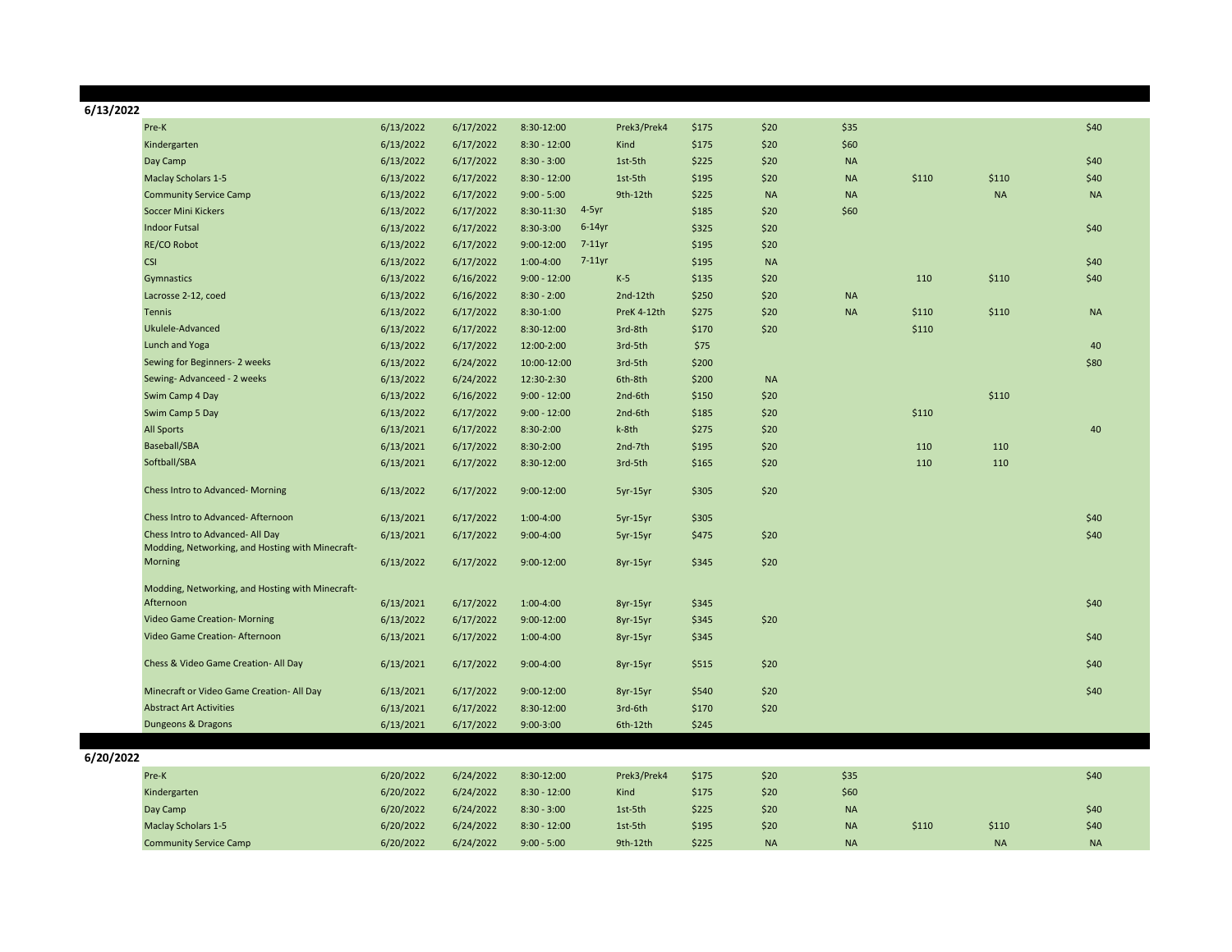| 6/13/2022 |                                                  |           |           |                             |             |       |           |           |       |           |           |
|-----------|--------------------------------------------------|-----------|-----------|-----------------------------|-------------|-------|-----------|-----------|-------|-----------|-----------|
|           | Pre-K                                            | 6/13/2022 | 6/17/2022 | 8:30-12:00                  | Prek3/Prek4 | \$175 | \$20      | \$35      |       |           | \$40      |
|           | Kindergarten                                     | 6/13/2022 | 6/17/2022 | $8:30 - 12:00$              | Kind        | \$175 | \$20      | \$60      |       |           |           |
|           | Day Camp                                         | 6/13/2022 | 6/17/2022 | $8:30 - 3:00$               | 1st-5th     | \$225 | \$20      | <b>NA</b> |       |           | \$40      |
|           | <b>Maclay Scholars 1-5</b>                       | 6/13/2022 | 6/17/2022 | $8:30 - 12:00$              | 1st-5th     | \$195 | \$20      | <b>NA</b> | \$110 | \$110     | \$40      |
|           | <b>Community Service Camp</b>                    | 6/13/2022 | 6/17/2022 | $9:00 - 5:00$               | 9th-12th    | \$225 | <b>NA</b> | <b>NA</b> |       | <b>NA</b> | <b>NA</b> |
|           | <b>Soccer Mini Kickers</b>                       | 6/13/2022 | 6/17/2022 | $4-5yr$<br>8:30-11:30       |             | \$185 | \$20      | \$60      |       |           |           |
|           | <b>Indoor Futsal</b>                             | 6/13/2022 | 6/17/2022 | $6-14$ yr<br>8:30-3:00      |             | \$325 | \$20      |           |       |           | \$40      |
|           | <b>RE/CO Robot</b>                               | 6/13/2022 | 6/17/2022 | $9:00 - 12:00$<br>$7-11$ yr |             | \$195 | \$20      |           |       |           |           |
|           | <b>CSI</b>                                       | 6/13/2022 | 6/17/2022 | $7-11$ yr<br>$1:00-4:00$    |             | \$195 | <b>NA</b> |           |       |           | \$40      |
|           | Gymnastics                                       | 6/13/2022 | 6/16/2022 | $9:00 - 12:00$              | $K-5$       | \$135 | \$20      |           | 110   | \$110     | \$40      |
|           | Lacrosse 2-12, coed                              | 6/13/2022 | 6/16/2022 | $8:30 - 2:00$               | 2nd-12th    | \$250 | \$20      | <b>NA</b> |       |           |           |
|           | <b>Tennis</b>                                    | 6/13/2022 | 6/17/2022 | 8:30-1:00                   | PreK 4-12th | \$275 | \$20      | <b>NA</b> | \$110 | \$110     | <b>NA</b> |
|           | Ukulele-Advanced                                 | 6/13/2022 | 6/17/2022 | 8:30-12:00                  | 3rd-8th     | \$170 | \$20      |           | \$110 |           |           |
|           | Lunch and Yoga                                   | 6/13/2022 | 6/17/2022 | 12:00-2:00                  | 3rd-5th     | \$75  |           |           |       |           | 40        |
|           | Sewing for Beginners-2 weeks                     | 6/13/2022 | 6/24/2022 | 10:00-12:00                 | 3rd-5th     | \$200 |           |           |       |           | \$80      |
|           | Sewing-Advanceed - 2 weeks                       | 6/13/2022 | 6/24/2022 | 12:30-2:30                  | 6th-8th     | \$200 | <b>NA</b> |           |       |           |           |
|           | Swim Camp 4 Day                                  | 6/13/2022 | 6/16/2022 | $9:00 - 12:00$              | 2nd-6th     | \$150 | \$20      |           |       | \$110     |           |
|           | Swim Camp 5 Day                                  | 6/13/2022 | 6/17/2022 | $9:00 - 12:00$              | 2nd-6th     | \$185 | \$20      |           | \$110 |           |           |
|           | <b>All Sports</b>                                | 6/13/2021 | 6/17/2022 | 8:30-2:00                   | k-8th       | \$275 | \$20      |           |       |           | 40        |
|           | Baseball/SBA                                     | 6/13/2021 | 6/17/2022 | 8:30-2:00                   | 2nd-7th     | \$195 | \$20      |           | 110   | 110       |           |
|           | Softball/SBA                                     | 6/13/2021 | 6/17/2022 | 8:30-12:00                  | 3rd-5th     | \$165 | \$20      |           | 110   | 110       |           |
|           | Chess Intro to Advanced-Morning                  | 6/13/2022 | 6/17/2022 | $9:00-12:00$                | 5yr-15yr    | \$305 | \$20      |           |       |           |           |
|           | Chess Intro to Advanced-Afternoon                | 6/13/2021 | 6/17/2022 | 1:00-4:00                   | 5yr-15yr    | \$305 |           |           |       |           | \$40      |
|           | Chess Intro to Advanced- All Day                 | 6/13/2021 | 6/17/2022 | $9:00 - 4:00$               | 5yr-15yr    | \$475 | \$20      |           |       |           | \$40      |
|           | Modding, Networking, and Hosting with Minecraft- |           |           |                             |             |       |           |           |       |           |           |
|           | Morning                                          | 6/13/2022 | 6/17/2022 | $9:00-12:00$                | 8yr-15yr    | \$345 | \$20      |           |       |           |           |
|           | Modding, Networking, and Hosting with Minecraft- |           |           |                             |             |       |           |           |       |           |           |
|           | Afternoon                                        | 6/13/2021 | 6/17/2022 | 1:00-4:00                   | 8yr-15yr    | \$345 |           |           |       |           | \$40      |
|           | Video Game Creation- Morning                     | 6/13/2022 | 6/17/2022 | 9:00-12:00                  | 8yr-15yr    | \$345 | \$20      |           |       |           |           |
|           | Video Game Creation- Afternoon                   | 6/13/2021 | 6/17/2022 | 1:00-4:00                   | 8yr-15yr    | \$345 |           |           |       |           | \$40      |
|           |                                                  |           |           |                             |             |       |           |           |       |           |           |
|           | Chess & Video Game Creation- All Day             | 6/13/2021 | 6/17/2022 | $9:00-4:00$                 | 8yr-15yr    | \$515 | \$20      |           |       |           | \$40      |
|           | Minecraft or Video Game Creation- All Day        | 6/13/2021 | 6/17/2022 | $9:00-12:00$                | 8yr-15yr    | \$540 | \$20      |           |       |           | \$40      |
|           | <b>Abstract Art Activities</b>                   | 6/13/2021 | 6/17/2022 | 8:30-12:00                  | 3rd-6th     | \$170 | \$20      |           |       |           |           |
|           | Dungeons & Dragons                               | 6/13/2021 | 6/17/2022 | $9:00 - 3:00$               | 6th-12th    | \$245 |           |           |       |           |           |
|           |                                                  |           |           |                             |             |       |           |           |       |           |           |
| 6/20/2022 |                                                  |           |           |                             |             |       |           |           |       |           |           |
|           | Pre-K                                            | 6/20/2022 | 6/24/2022 | 8:30-12:00                  | Prek3/Prek4 | \$175 | \$20      | \$35      |       |           | \$40      |
|           | Kindergarten                                     | 6/20/2022 | 6/24/2022 | $8:30 - 12:00$              | Kind        | \$175 | \$20      | \$60      |       |           |           |
|           | Day Camp                                         | 6/20/2022 | 6/24/2022 | $8:30 - 3:00$               | 1st-5th     | \$225 | \$20      | <b>NA</b> |       |           | \$40      |
|           | <b>Maclay Scholars 1-5</b>                       | 6/20/2022 | 6/24/2022 | $8:30 - 12:00$              | 1st-5th     | \$195 | \$20      | <b>NA</b> | \$110 | \$110     | \$40      |
|           | <b>Community Service Camp</b>                    | 6/20/2022 | 6/24/2022 | $9:00 - 5:00$               | 9th-12th    | \$225 | <b>NA</b> | <b>NA</b> |       | <b>NA</b> | <b>NA</b> |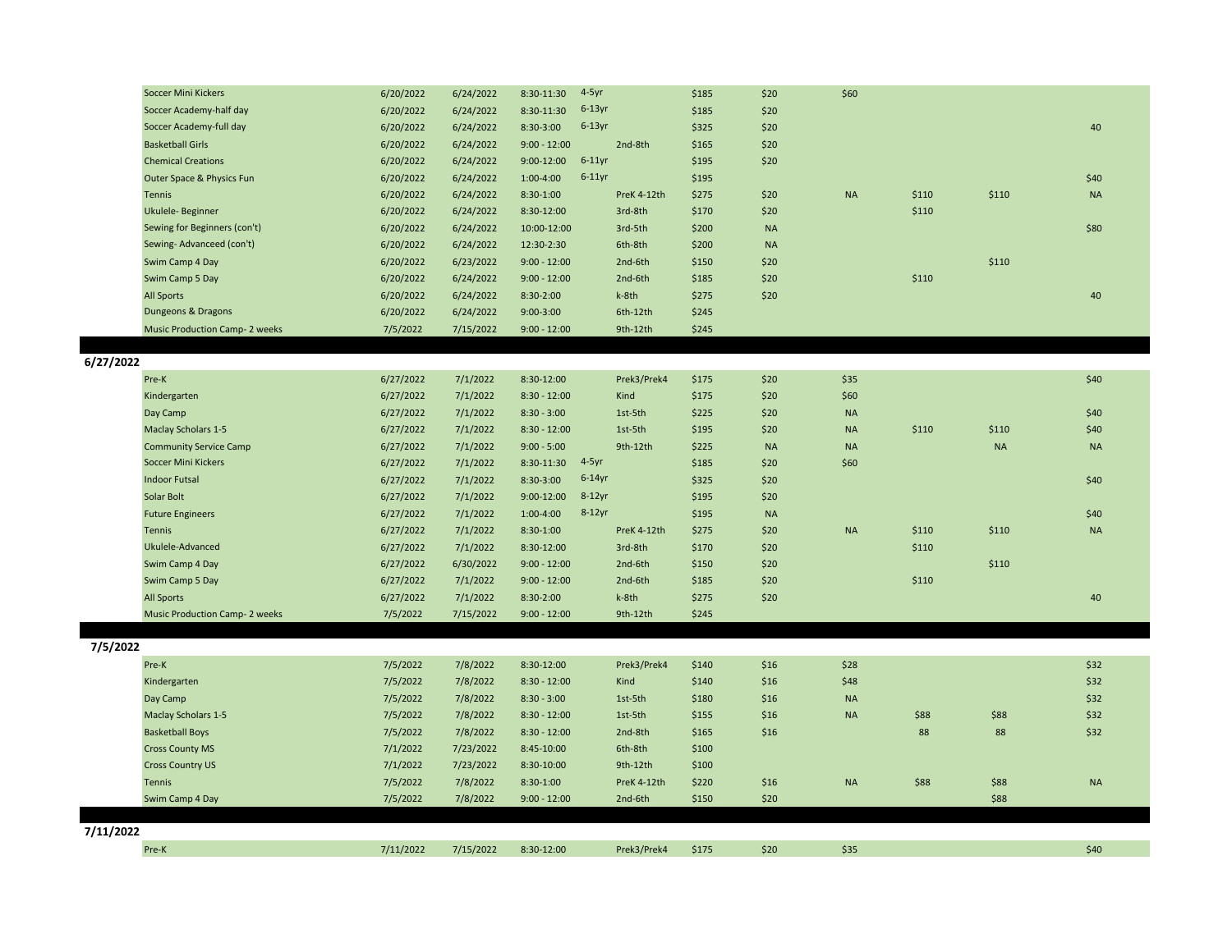| Soccer Mini Kickers                  | 6/20/2022 | 6/24/2022 | $4-5yr$<br>8:30-11:30       |             | \$185 | \$20      | \$60      |       |       |           |
|--------------------------------------|-----------|-----------|-----------------------------|-------------|-------|-----------|-----------|-------|-------|-----------|
| Soccer Academy-half day              | 6/20/2022 | 6/24/2022 | $6-13$ yr<br>8:30-11:30     |             | \$185 | \$20      |           |       |       |           |
| Soccer Academy-full day              | 6/20/2022 | 6/24/2022 | $6-13$ yr<br>8:30-3:00      |             | \$325 | \$20      |           |       |       | 40        |
| <b>Basketball Girls</b>              | 6/20/2022 | 6/24/2022 | $9:00 - 12:00$              | 2nd-8th     | \$165 | \$20      |           |       |       |           |
| <b>Chemical Creations</b>            | 6/20/2022 | 6/24/2022 | $6-11$ yr<br>$9:00 - 12:00$ |             | \$195 | \$20      |           |       |       |           |
| Outer Space & Physics Fun            | 6/20/2022 | 6/24/2022 | $6-11$ yr<br>$1:00 - 4:00$  |             | \$195 |           |           |       |       | \$40      |
| Tennis                               | 6/20/2022 | 6/24/2022 | 8:30-1:00                   | PreK 4-12th | \$275 | \$20      | <b>NA</b> | \$110 | \$110 | <b>NA</b> |
| Ukulele-Beginner                     | 6/20/2022 | 6/24/2022 | 8:30-12:00                  | 3rd-8th     | \$170 | \$20      |           | \$110 |       |           |
| Sewing for Beginners (con't)         | 6/20/2022 | 6/24/2022 | 10:00-12:00                 | 3rd-5th     | \$200 | <b>NA</b> |           |       |       | \$80      |
| Sewing-Advanceed (con't)             | 6/20/2022 | 6/24/2022 | 12:30-2:30                  | 6th-8th     | \$200 | <b>NA</b> |           |       |       |           |
| Swim Camp 4 Day                      | 6/20/2022 | 6/23/2022 | $9:00 - 12:00$              | 2nd-6th     | \$150 | \$20      |           |       | \$110 |           |
| Swim Camp 5 Day                      | 6/20/2022 | 6/24/2022 | $9:00 - 12:00$              | 2nd-6th     | \$185 | \$20      |           | \$110 |       |           |
| All Sports                           | 6/20/2022 | 6/24/2022 | 8:30-2:00                   | k-8th       | \$275 | \$20      |           |       |       | 40        |
| Dungeons & Dragons                   | 6/20/2022 | 6/24/2022 | $9:00-3:00$                 | 6th-12th    | \$245 |           |           |       |       |           |
| <b>Music Production Camp-2 weeks</b> | 7/5/2022  | 7/15/2022 | $9:00 - 12:00$              | 9th-12th    | \$245 |           |           |       |       |           |

**6/27/2022**

| Pre-K                                | 6/27/2022 | 7/1/2022  | 8:30-12:00                  | Prek3/Prek4 | \$175 | \$20      | \$35      |       |           | \$40      |
|--------------------------------------|-----------|-----------|-----------------------------|-------------|-------|-----------|-----------|-------|-----------|-----------|
| Kindergarten                         | 6/27/2022 | 7/1/2022  | $8:30 - 12:00$              | Kind        | \$175 | \$20      | \$60      |       |           |           |
| Day Camp                             | 6/27/2022 | 7/1/2022  | $8:30 - 3:00$               | 1st-5th     | \$225 | \$20      | <b>NA</b> |       |           | \$40      |
| <b>Maclay Scholars 1-5</b>           | 6/27/2022 | 7/1/2022  | $8:30 - 12:00$              | 1st-5th     | \$195 | \$20      | <b>NA</b> | \$110 | \$110     | \$40      |
| <b>Community Service Camp</b>        | 6/27/2022 | 7/1/2022  | $9:00 - 5:00$               | $9th-12th$  | \$225 | <b>NA</b> | <b>NA</b> |       | <b>NA</b> | <b>NA</b> |
| Soccer Mini Kickers                  | 6/27/2022 | 7/1/2022  | $4-5yr$<br>8:30-11:30       |             | \$185 | \$20      | \$60      |       |           |           |
| <b>Indoor Futsal</b>                 | 6/27/2022 | 7/1/2022  | $6-14$ yr<br>8:30-3:00      |             | \$325 | \$20      |           |       |           | \$40      |
| Solar Bolt                           | 6/27/2022 | 7/1/2022  | $8-12$ yr<br>$9:00 - 12:00$ |             | \$195 | \$20      |           |       |           |           |
| <b>Future Engineers</b>              | 6/27/2022 | 7/1/2022  | $8-12$ yr<br>$1:00 - 4:00$  |             | \$195 | <b>NA</b> |           |       |           | \$40      |
| <b>Tennis</b>                        | 6/27/2022 | 7/1/2022  | $8:30-1:00$                 | PreK 4-12th | \$275 | \$20      | <b>NA</b> | \$110 | \$110     | <b>NA</b> |
| Ukulele-Advanced                     | 6/27/2022 | 7/1/2022  | 8:30-12:00                  | 3rd-8th     | \$170 | \$20      |           | \$110 |           |           |
| Swim Camp 4 Day                      | 6/27/2022 | 6/30/2022 | $9:00 - 12:00$              | 2nd-6th     | \$150 | \$20      |           |       | \$110     |           |
| Swim Camp 5 Day                      | 6/27/2022 | 7/1/2022  | $9:00 - 12:00$              | 2nd-6th     | \$185 | \$20      |           | \$110 |           |           |
| <b>All Sports</b>                    | 6/27/2022 | 7/1/2022  | 8:30-2:00                   | k-8th       | \$275 | \$20      |           |       |           | 40        |
| <b>Music Production Camp-2 weeks</b> | 7/5/2022  | 7/15/2022 | $9:00 - 12:00$              | 9th-12th    | \$245 |           |           |       |           |           |

**7/5/2022**

| 77572022  |                            |           |           |                |             |       |      |           |      |      |           |
|-----------|----------------------------|-----------|-----------|----------------|-------------|-------|------|-----------|------|------|-----------|
|           | Pre-K                      | 7/5/2022  | 7/8/2022  | 8:30-12:00     | Prek3/Prek4 | \$140 | \$16 | \$28      |      |      | \$32      |
|           | Kindergarten               | 7/5/2022  | 7/8/2022  | $8:30 - 12:00$ | Kind        | \$140 | \$16 | \$48      |      |      | \$32      |
|           | Day Camp                   | 7/5/2022  | 7/8/2022  | $8:30 - 3:00$  | 1st-5th     | \$180 | \$16 | <b>NA</b> |      |      | \$32      |
|           | <b>Maclay Scholars 1-5</b> | 7/5/2022  | 7/8/2022  | $8:30 - 12:00$ | 1st-5th     | \$155 | \$16 | <b>NA</b> | \$88 | \$88 | \$32      |
|           | <b>Basketball Boys</b>     | 7/5/2022  | 7/8/2022  | $8:30 - 12:00$ | 2nd-8th     | \$165 | \$16 |           | 88   | 88   | \$32      |
|           | <b>Cross County MS</b>     | 7/1/2022  | 7/23/2022 | 8:45-10:00     | 6th-8th     | \$100 |      |           |      |      |           |
|           | <b>Cross Country US</b>    | 7/1/2022  | 7/23/2022 | 8:30-10:00     | 9th-12th    | \$100 |      |           |      |      |           |
|           | Tennis                     | 7/5/2022  | 7/8/2022  | 8:30-1:00      | PreK 4-12th | \$220 | \$16 | <b>NA</b> | \$88 | \$88 | <b>NA</b> |
|           | Swim Camp 4 Day            | 7/5/2022  | 7/8/2022  | $9:00 - 12:00$ | 2nd-6th     | \$150 | \$20 |           |      | \$88 |           |
|           |                            |           |           |                |             |       |      |           |      |      |           |
| 7/11/2022 |                            |           |           |                |             |       |      |           |      |      |           |
|           | Pre-K                      | 7/11/2022 | 7/15/2022 | 8:30-12:00     | Prek3/Prek4 | \$175 | \$20 | \$35      |      |      | \$40      |
|           |                            |           |           |                |             |       |      |           |      |      |           |